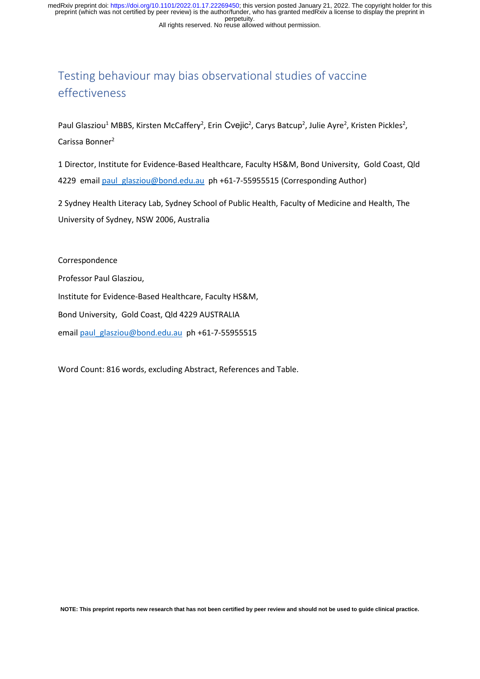All rights reserved. No reuse allowed without permission. perpetuity. preprint (which was not certified by peer review) is the author/funder, who has granted medRxiv a license to display the preprint in medRxiv preprint doi: [https://doi.org/10.1101/2022.01.17.22269450;](https://doi.org/10.1101/2022.01.17.22269450) this version posted January 21, 2022. The copyright holder for this

## Testing behaviour may bias observational studies of vaccine effectiveness

Paul Glasziou<sup>1</sup> MBBS, Kirsten McCaffery<sup>2</sup>, Erin Cvejic<sup>2</sup>, Carys Batcup<sup>2</sup>, Julie Ayre<sup>2</sup>, Kristen Pickles<sup>2</sup>, Carissa Bonner2

1 Director, Institute for Evidence-Based Healthcare, Faculty HS&M, Bond University, Gold Coast, Qld 4229 email [paul\\_glasziou@bond.edu.au](mailto:paul_glasziou@bond.edu.au) ph +61-7-55955515 (Corresponding Author)

2 Sydney Health Literacy Lab, Sydney School of Public Health, Faculty of Medicine and Health, The University of Sydney, NSW 2006, Australia

Correspondence

Professor Paul Glasziou,

Institute for Evidence-Based Healthcare, Faculty HS&M,

Bond University, Gold Coast, Qld 4229 AUSTRALIA

email [paul\\_glasziou@bond.edu.au](mailto:paul_glasziou@bond.edu.au) ph +61-7-55955515

Word Count: 816 words, excluding Abstract, References and Table.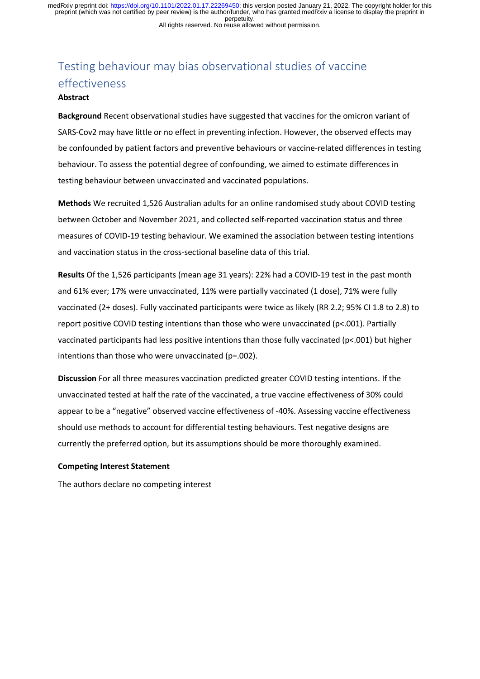All rights reserved. No reuse allowed without permission. perpetuity. preprint (which was not certified by peer review) is the author/funder, who has granted medRxiv a license to display the preprint in medRxiv preprint doi: [https://doi.org/10.1101/2022.01.17.22269450;](https://doi.org/10.1101/2022.01.17.22269450) this version posted January 21, 2022. The copyright holder for this

# Testing behaviour may bias observational studies of vaccine effectiveness

#### **Abstract**

**Background** Recent observational studies have suggested that vaccines for the omicron variant of SARS-Cov2 may have little or no effect in preventing infection. However, the observed effects may be confounded by patient factors and preventive behaviours or vaccine-related differences in testing behaviour. To assess the potential degree of confounding, we aimed to estimate differences in testing behaviour between unvaccinated and vaccinated populations.

**Methods** We recruited 1,526 Australian adults for an online randomised study about COVID testing between October and November 2021, and collected self-reported vaccination status and three measures of COVID-19 testing behaviour. We examined the association between testing intentions and vaccination status in the cross-sectional baseline data of this trial.

**Results** Of the 1,526 participants (mean age 31 years): 22% had a COVID-19 test in the past month and 61% ever; 17% were unvaccinated, 11% were partially vaccinated (1 dose), 71% were fully vaccinated (2+ doses). Fully vaccinated participants were twice as likely (RR 2.2; 95% CI 1.8 to 2.8) to report positive COVID testing intentions than those who were unvaccinated (p<.001). Partially vaccinated participants had less positive intentions than those fully vaccinated (p<.001) but higher intentions than those who were unvaccinated (p=.002).

**Discussion** For all three measures vaccination predicted greater COVID testing intentions. If the unvaccinated tested at half the rate of the vaccinated, a true vaccine effectiveness of 30% could appear to be a "negative" observed vaccine effectiveness of -40%. Assessing vaccine effectiveness should use methods to account for differential testing behaviours. Test negative designs are currently the preferred option, but its assumptions should be more thoroughly examined.

#### **Competing Interest Statement**

The authors declare no competing interest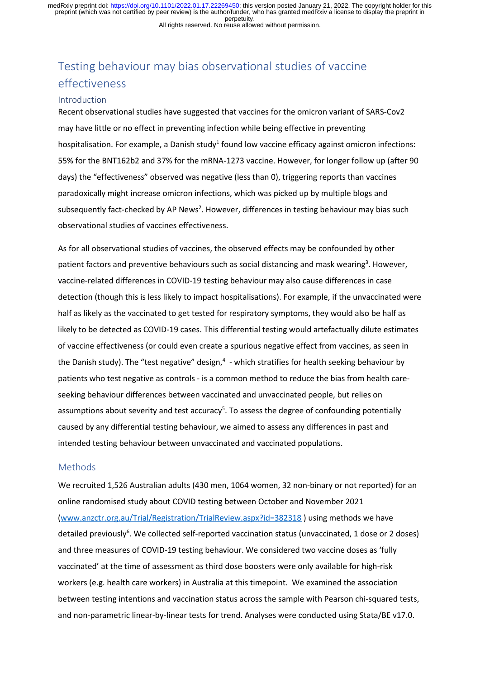All rights reserved. No reuse allowed without permission. perpetuity. preprint (which was not certified by peer review) is the author/funder, who has granted medRxiv a license to display the preprint in medRxiv preprint doi: [https://doi.org/10.1101/2022.01.17.22269450;](https://doi.org/10.1101/2022.01.17.22269450) this version posted January 21, 2022. The copyright holder for this

## Testing behaviour may bias observational studies of vaccine effectiveness

#### Introduction

Recent observational studies have suggested that vaccines for the omicron variant of SARS-Cov2 may have little or no effect in preventing infection while being effective in preventing hospitalisation. For example, a Danish study<sup>1</sup> found low vaccine efficacy against omicron infections: 55% for the BNT162b2 and 37% for the mRNA-1273 vaccine. However, for longer follow up (after 90 days) the "effectiveness" observed was negative (less than 0), triggering reports than vaccines paradoxically might increase omicron infections, which was picked up by multiple blogs and subsequently fact-checked by AP News<sup>2</sup>. However, differences in testing behaviour may bias such observational studies of vaccines effectiveness.

As for all observational studies of vaccines, the observed effects may be confounded by other patient factors and preventive behaviours such as social distancing and mask wearing<sup>3</sup>. However, vaccine-related differences in COVID-19 testing behaviour may also cause differences in case detection (though this is less likely to impact hospitalisations). For example, if the unvaccinated were half as likely as the vaccinated to get tested for respiratory symptoms, they would also be half as likely to be detected as COVID-19 cases. This differential testing would artefactually dilute estimates of vaccine effectiveness (or could even create a spurious negative effect from vaccines, as seen in the Danish study). The "test negative" design,<sup>4</sup> - which stratifies for health seeking behaviour by patients who test negative as controls - is a common method to reduce the bias from health careseeking behaviour differences between vaccinated and unvaccinated people, but relies on assumptions about severity and test accuracy<sup>5</sup>. To assess the degree of confounding potentially caused by any differential testing behaviour, we aimed to assess any differences in past and intended testing behaviour between unvaccinated and vaccinated populations.

#### Methods

We recruited 1,526 Australian adults (430 men, 1064 women, 32 non-binary or not reported) for an online randomised study about COVID testing between October and November 2021 [\(www.anzctr.org.au/Trial/Registration/TrialReview.aspx?id=382318](www.anzctr.org.au/Trial/Registration/TrialReview.aspx?id=382318) ) using methods we have detailed previously<sup>6</sup>. We collected self-reported vaccination status (unvaccinated, 1 dose or 2 doses) and three measures of COVID-19 testing behaviour. We considered two vaccine doses as 'fully vaccinated' at the time of assessment as third dose boosters were only available for high-risk workers (e.g. health care workers) in Australia at this timepoint. We examined the association between testing intentions and vaccination status across the sample with Pearson chi-squared tests, and non-parametric linear-by-linear tests for trend. Analyses were conducted using Stata/BE v17.0.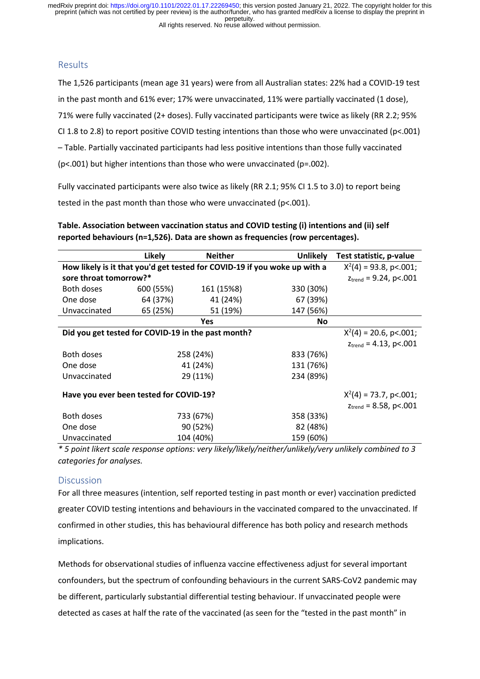All rights reserved. No reuse allowed without permission. perpetuity. preprint (which was not certified by peer review) is the author/funder, who has granted medRxiv a license to display the preprint in medRxiv preprint doi: [https://doi.org/10.1101/2022.01.17.22269450;](https://doi.org/10.1101/2022.01.17.22269450) this version posted January 21, 2022. The copyright holder for this

## Results

The 1,526 participants (mean age 31 years) were from all Australian states: 22% had a COVID-19 test in the past month and 61% ever; 17% were unvaccinated, 11% were partially vaccinated (1 dose), 71% were fully vaccinated (2+ doses). Fully vaccinated participants were twice as likely (RR 2.2; 95% CI 1.8 to 2.8) to report positive COVID testing intentions than those who were unvaccinated (p<.001) – Table. Partially vaccinated participants had less positive intentions than those fully vaccinated (p<.001) but higher intentions than those who were unvaccinated (p=.002).

Fully vaccinated participants were also twice as likely (RR 2.1; 95% CI 1.5 to 3.0) to report being tested in the past month than those who were unvaccinated (p<.001).

|                                                                           | Likely            | <b>Neither</b> | <b>Unlikely</b> | Test statistic, p-value            |
|---------------------------------------------------------------------------|-------------------|----------------|-----------------|------------------------------------|
| How likely is it that you'd get tested for COVID-19 if you woke up with a |                   |                |                 | $X^2(4) = 93.8$ , p<.001;          |
| sore throat tomorrow?*                                                    |                   |                |                 | $z_{\text{trend}}$ = 9.24, p<.001  |
| Both doses                                                                | 600 (55%)         | 161 (15%8)     | 330 (30%)       |                                    |
| One dose                                                                  | 64 (37%)          | 41 (24%)       | 67 (39%)        |                                    |
| Unvaccinated                                                              | 65 (25%)          | 51 (19%)       | 147 (56%)       |                                    |
|                                                                           | <b>Yes</b><br>No. |                |                 |                                    |
| Did you get tested for COVID-19 in the past month?                        |                   |                |                 | $X^2(4) = 20.6$ , p<.001;          |
|                                                                           |                   |                |                 | $z_{\text{trend}} = 4.13$ , p<.001 |
| <b>Both doses</b>                                                         |                   | 258 (24%)      | 833 (76%)       |                                    |
| One dose                                                                  |                   | 41 (24%)       | 131 (76%)       |                                    |
| Unvaccinated                                                              |                   | 29 (11%)       | 234 (89%)       |                                    |
| Have you ever been tested for COVID-19?                                   |                   |                |                 | $X^2(4) = 73.7$ , p<.001;          |
|                                                                           |                   |                |                 | $z_{\text{trend}} = 8.58$ , p<.001 |
| <b>Both doses</b>                                                         |                   | 733 (67%)      | 358 (33%)       |                                    |
| One dose                                                                  |                   | 90 (52%)       | 82 (48%)        |                                    |
| Unvaccinated                                                              |                   | 104 (40%)      | 159 (60%)       |                                    |

**Table. Association between vaccination status and COVID testing (i) intentions and (ii) self reported behaviours (n=1,526). Data are shown as frequencies (row percentages).** 

*\* 5 point likert scale response options: very likely/likely/neither/unlikely/very unlikely combined to 3 categories for analyses.*

## **Discussion**

For all three measures (intention, self reported testing in past month or ever) vaccination predicted greater COVID testing intentions and behaviours in the vaccinated compared to the unvaccinated. If confirmed in other studies, this has behavioural difference has both policy and research methods implications.

Methods for observational studies of influenza vaccine effectiveness adjust for several important confounders, but the spectrum of confounding behaviours in the current SARS-CoV2 pandemic may be different, particularly substantial differential testing behaviour. If unvaccinated people were detected as cases at half the rate of the vaccinated (as seen for the "tested in the past month" in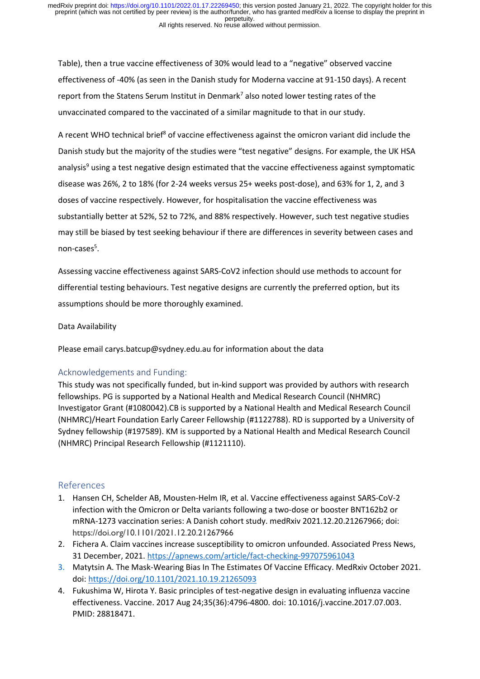Table), then a true vaccine effectiveness of 30% would lead to a "negative" observed vaccine effectiveness of -40% (as seen in the Danish study for Moderna vaccine at 91-150 days). A recent report from the Statens Serum Institut in Denmark<sup>7</sup> also noted lower testing rates of the unvaccinated compared to the vaccinated of a similar magnitude to that in our study.

A recent WHO technical brief<sup>8</sup> of vaccine effectiveness against the omicron variant did include the Danish study but the majority of the studies were "test negative" designs. For example, the UK HSA analysis<sup>9</sup> using a test negative design estimated that the vaccine effectiveness against symptomatic disease was 26%, 2 to 18% (for 2-24 weeks versus 25+ weeks post-dose), and 63% for 1, 2, and 3 doses of vaccine respectively. However, for hospitalisation the vaccine effectiveness was substantially better at 52%, 52 to 72%, and 88% respectively. However, such test negative studies may still be biased by test seeking behaviour if there are differences in severity between cases and non-cases<sup>5</sup>.

Assessing vaccine effectiveness against SARS-CoV2 infection should use methods to account for differential testing behaviours. Test negative designs are currently the preferred option, but its assumptions should be more thoroughly examined.

### Data Availability

Please email carys.batcup@sydney.edu.au for information about the data

## Acknowledgements and Funding:

This study was not specifically funded, but in-kind support was provided by authors with research fellowships. PG is supported by a National Health and Medical Research Council (NHMRC) Investigator Grant (#1080042).CB is supported by a National Health and Medical Research Council (NHMRC)/Heart Foundation Early Career Fellowship (#1122788). RD is supported by a University of Sydney fellowship (#197589). KM is supported by a National Health and Medical Research Council (NHMRC) Principal Research Fellowship (#1121110).

## References

- 1. Hansen CH, Schelder AB, Mousten-Helm IR, et al. Vaccine effectiveness against SARS-CoV-2 infection with the Omicron or Delta variants following a two-dose or booster BNT162b2 or mRNA-1273 vaccination series: A Danish cohort study. medRxiv 2021.12.20.21267966; doi: https://doi.org/10.1101/2021.12.20.21267966
- 2. Fichera A. Claim vaccines increase susceptibility to omicron unfounded. Associated Press News, 31 December, 2021[. https://apnews.com/article/fact-checking-997075961043](https://apnews.com/article/fact-checking-997075961043)
- 3. Matytsin A. The Mask-Wearing Bias In The Estimates Of Vaccine Efficacy. MedRxiv October 2021. doi[: https://doi.org/10.1101/2021.10.19.21265093](https://doi.org/10.1101/2021.10.19.21265093)
- 4. Fukushima W, Hirota Y. Basic principles of test-negative design in evaluating influenza vaccine effectiveness. Vaccine. 2017 Aug 24;35(36):4796-4800. doi: 10.1016/j.vaccine.2017.07.003. PMID: 28818471.